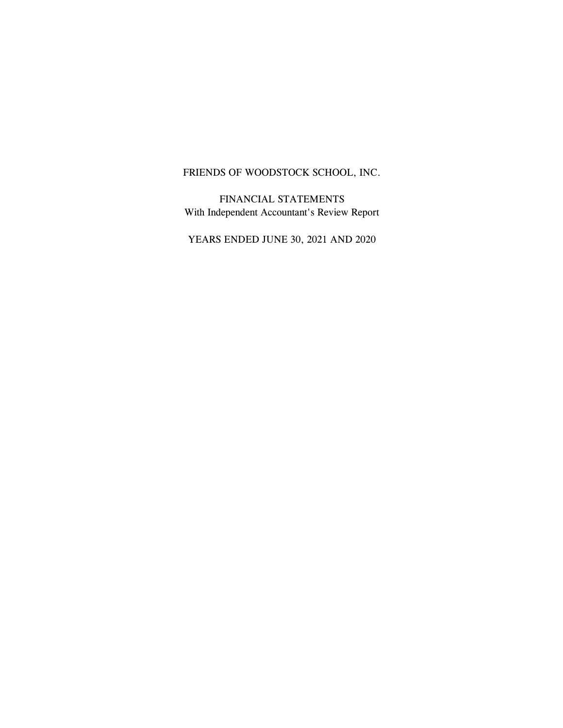FINANCIAL STATEMENTS With Independent Accountant's Review Report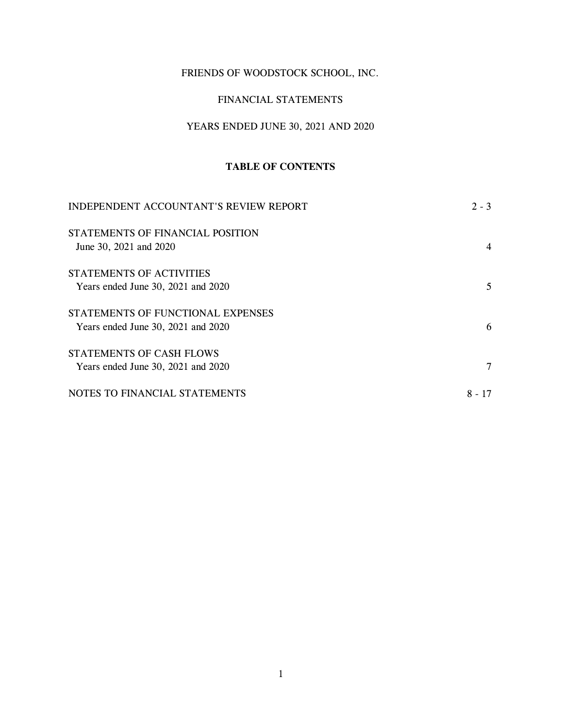# FINANCIAL STATEMENTS

# YEARS ENDED JUNE 30, 2021 AND 2020

# TABLE OF CONTENTS

| INDEPENDENT ACCOUNTANT'S REVIEW REPORT                                    | $2 - 3$ |
|---------------------------------------------------------------------------|---------|
| STATEMENTS OF FINANCIAL POSITION<br>June 30, 2021 and 2020                | 4       |
| STATEMENTS OF ACTIVITIES<br>Years ended June 30, 2021 and $2020$          | 5       |
| STATEMENTS OF FUNCTIONAL EXPENSES<br>Years ended June 30, 2021 and $2020$ | 6       |
| <b>STATEMENTS OF CASH FLOWS</b><br>Years ended June 30, 2021 and $2020$   |         |
| NOTES TO FINANCIAL STATEMENTS                                             | 8 - 17  |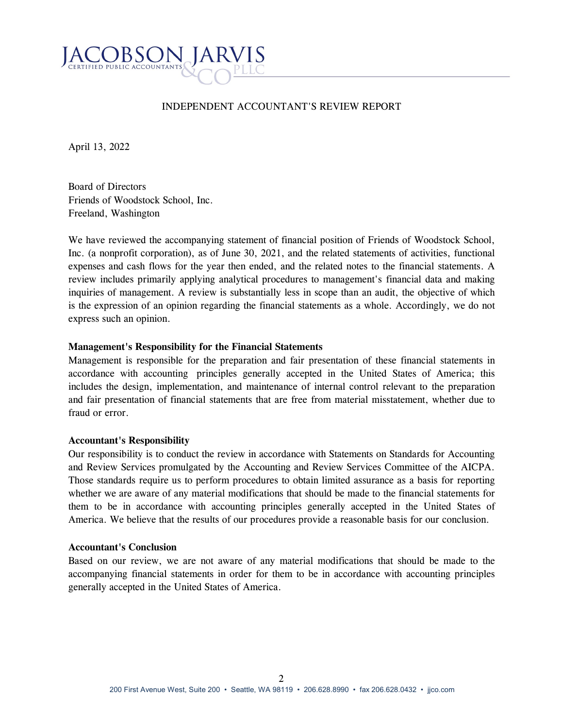

# INDEPENDENT ACCOUNTANT'S REVIEW REPORT

April 13, 2022

Board of Directors Friends of Woodstock School, Inc. Freeland, Washington

We have reviewed the accompanying statement of financial position of Friends of Woodstock School, Inc. (a nonprofit corporation), as of June 30, 2021, and the related statements of activities, functional expenses and cash flows for the year then ended, and the related notes to the financial statements. A review includes primarily applying analytical procedures to management's financial data and making inquiries of management. A review is substantially less in scope than an audit, the objective of which is the expression of an opinion regarding the financial statements as a whole. Accordingly, we do not express such an opinion.

# Management's Responsibility for the Financial Statements

Management is responsible for the preparation and fair presentation of these financial statements in accordance with accounting principles generally accepted in the United States of America; this includes the design, implementation, and maintenance of internal control relevant to the preparation and fair presentation of financial statements that are free from material misstatement, whether due to fraud or error.

#### Accountant's Responsibility

Our responsibility is to conduct the review in accordance with Statements on Standards for Accounting and Review Services promulgated by the Accounting and Review Services Committee of the AICPA. Those standards require us to perform procedures to obtain limited assurance as a basis for reporting whether we are aware of any material modifications that should be made to the financial statements for them to be in accordance with accounting principles generally accepted in the United States of America. We believe that the results of our procedures provide a reasonable basis for our conclusion.

#### Accountant's Conclusion

Based on our review, we are not aware of any material modifications that should be made to the accompanying financial statements in order for them to be in accordance with accounting principles generally accepted in the United States of America.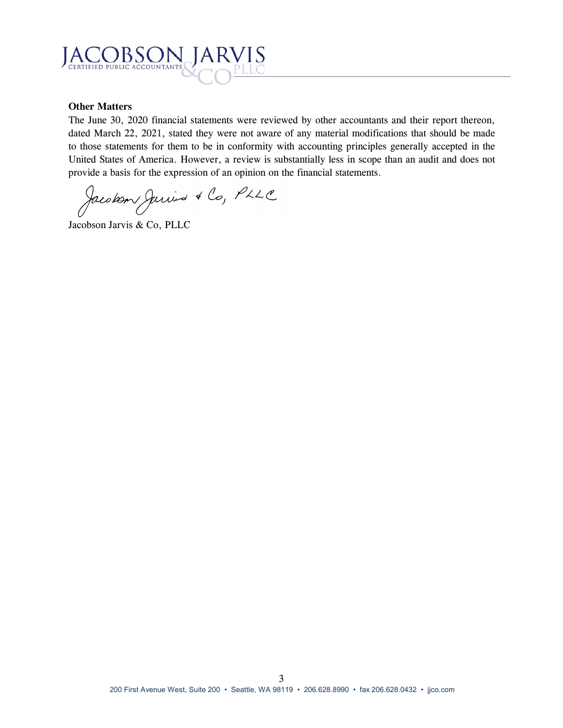

## Other Matters

The June 30, 2020 financial statements were reviewed by other accountants and their report thereon, dated March 22, 2021, stated they were not aware of any material modifications that should be made to those statements for them to be in conformity with accounting principles generally accepted in the United States of America. However, a review is substantially less in scope than an audit and does not provide a basis for the expression of an opinion on the financial statements.

Jacoken Jarried & Co, PLLC

Jacobson Jarvis & Co, PLLC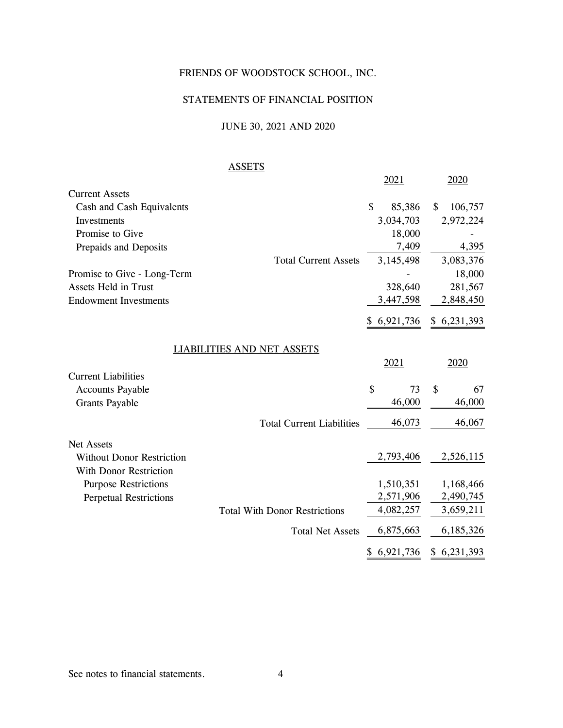# STATEMENTS OF FINANCIAL POSITION

# JUNE 30, 2021 AND 2020

# **ASSETS**

|                                      | 2021            | 2020          |
|--------------------------------------|-----------------|---------------|
| <b>Current Assets</b>                |                 |               |
| Cash and Cash Equivalents            | \$<br>85,386    | 106,757<br>\$ |
| Investments                          | 3,034,703       | 2,972,224     |
| Promise to Give                      | 18,000          |               |
| Prepaids and Deposits                | 7,409           | 4,395         |
| <b>Total Current Assets</b>          | 3,145,498       | 3,083,376     |
| Promise to Give - Long-Term          |                 | 18,000        |
| <b>Assets Held in Trust</b>          | 328,640         | 281,567       |
| <b>Endowment Investments</b>         | 3,447,598       | 2,848,450     |
|                                      | \$6,921,736     | \$ 6,231,393  |
| <b>LIABILITIES AND NET ASSETS</b>    |                 |               |
|                                      | 2021            | 2020          |
| <b>Current Liabilities</b>           |                 |               |
| <b>Accounts Payable</b>              | \$<br>73        | \$<br>67      |
| <b>Grants Payable</b>                | 46,000          | 46,000        |
| <b>Total Current Liabilities</b>     | 46,073          | 46,067        |
| <b>Net Assets</b>                    |                 |               |
| <b>Without Donor Restriction</b>     | 2,793,406       | 2,526,115     |
| <b>With Donor Restriction</b>        |                 |               |
| <b>Purpose Restrictions</b>          | 1,510,351       | 1,168,466     |
| <b>Perpetual Restrictions</b>        | 2,571,906       | 2,490,745     |
| <b>Total With Donor Restrictions</b> | 4,082,257       | 3,659,211     |
| <b>Total Net Assets</b>              | 6,875,663       | 6,185,326     |
|                                      | 6,921,736<br>P. | \$6,231,393   |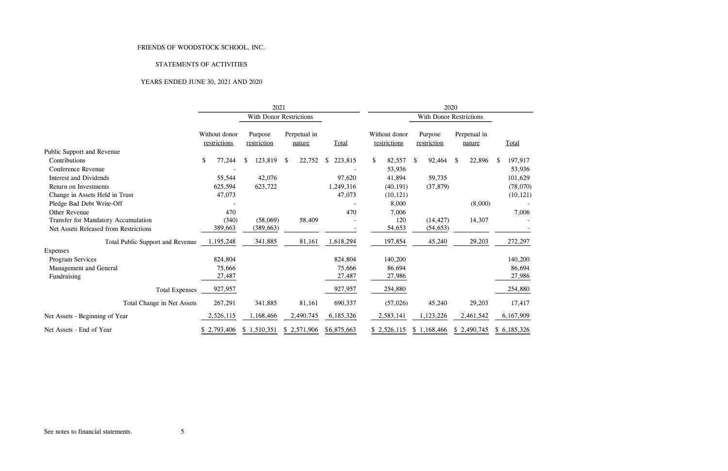|                                       |                               | 2021                           |                                     |               | 2020                           |                        |                         |                                                |  |  |
|---------------------------------------|-------------------------------|--------------------------------|-------------------------------------|---------------|--------------------------------|------------------------|-------------------------|------------------------------------------------|--|--|
|                                       |                               | <b>With Donor Restrictions</b> |                                     |               | <b>With Donor Restrictions</b> |                        |                         |                                                |  |  |
|                                       | Without donor<br>restrictions | Purpose<br>restriction         | Perpetual in<br>nature              | Total         | Without donor<br>restrictions  | Purpose<br>restriction | Perpetual in<br>nature  | Total                                          |  |  |
| Public Support and Revenue            |                               |                                |                                     |               |                                |                        |                         |                                                |  |  |
| Contributions<br>Conference Revenue   | \$<br>77,244                  | 123,819                        | $\boldsymbol{\mathsf{S}}$<br>22,752 | \$<br>223,815 | \$<br>82,557<br>53,936         | 92,464<br>$\mathbb{S}$ | 22,896<br>$\mathcal{S}$ | 197,917<br>$\boldsymbol{\mathsf{S}}$<br>53,936 |  |  |
| <b>Interest and Dividends</b>         | 55,544                        | 42,076                         |                                     | 97,620        | 41,894                         | 59,735                 |                         | 101,629                                        |  |  |
| Return on Investments                 | 625,594                       | 623,722                        |                                     | 1,249,316     | (40, 191)                      | (37, 879)              |                         | (78,070)                                       |  |  |
| Change in Assets Held in Trust        | 47,073                        |                                |                                     | 47,073        | (10, 121)                      |                        |                         | (10, 121)                                      |  |  |
| Pledge Bad Debt Write-Off             |                               |                                |                                     |               | 8,000                          |                        | (8,000)                 |                                                |  |  |
| Other Revenue                         | 470                           |                                |                                     | 470           | 7,006                          |                        |                         | 7,006                                          |  |  |
| Transfer for Mandatory Accumulation   | (340)                         | (58,069)                       | 58,409                              |               | 120                            | (14, 427)              | 14,307                  |                                                |  |  |
| Net Assets Released from Restrictions | 389,663                       | (389, 663)                     |                                     |               | 54,653                         | (54, 653)              |                         |                                                |  |  |
| Total Public Support and Revenue      | 1,195,248                     | 341,885                        | 81,161                              | 1,618,294     | 197,854                        | 45,240                 | 29,203                  | 272,297                                        |  |  |
| <b>Expenses</b>                       |                               |                                |                                     |               |                                |                        |                         |                                                |  |  |
| <b>Program Services</b>               | 824,804                       |                                |                                     | 824,804       | 140,200                        |                        |                         | 140,200                                        |  |  |
| Management and General                | 75,666                        |                                |                                     | 75,666        | 86,694                         |                        |                         | 86,694                                         |  |  |
| Fundraising                           | 27,487                        |                                |                                     | 27,487        | 27,986                         |                        |                         | 27,986                                         |  |  |
| <b>Total Expenses</b>                 | 927,957                       |                                |                                     | 927,957       | 254,880                        |                        |                         | 254,880                                        |  |  |
| Total Change in Net Assets            | 267,291                       | 341,885                        | 81,161                              | 690,337       | (57, 026)                      | 45,240                 | 29,203                  | 17,417                                         |  |  |
| Net Assets - Beginning of Year        | 2,526,115                     | 1,168,466                      | 2,490,745                           | 6,185,326     | 2,583,141                      | 1,123,226              | 2,461,542               | 6,167,909                                      |  |  |
| Net Assets - End of Year              | \$2,793,406                   | \$1,510,351                    | \$2,571,906                         | \$6,875,663   | \$2,526,115                    | \$1,168,466            | \$2,490,745             | \$6,185,326                                    |  |  |

# STATEMENTS OF ACTIVITIES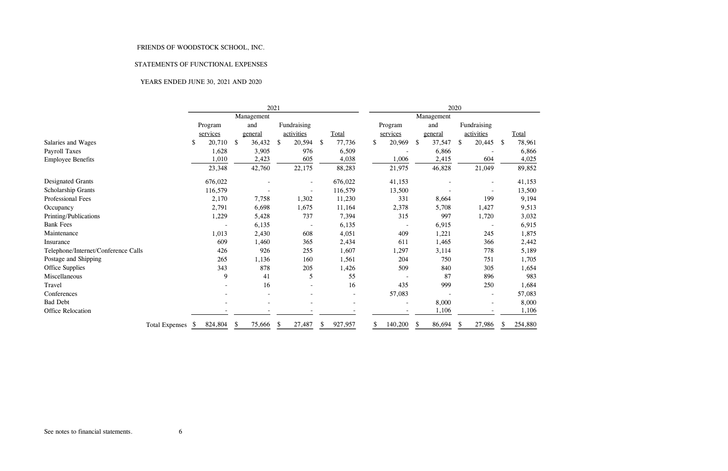|                                     |                       |                         |                        | 2021                                |               |            | 2020     |               |         |              |                          |    |         |  |
|-------------------------------------|-----------------------|-------------------------|------------------------|-------------------------------------|---------------|------------|----------|---------------|---------|--------------|--------------------------|----|---------|--|
|                                     |                       |                         | Management             |                                     |               | Management |          |               |         |              |                          |    |         |  |
|                                     |                       | Program                 | and                    | Fundraising                         |               |            | Program  |               | and     |              | Fundraising              |    |         |  |
|                                     |                       | services                | general                | activities                          | Total         |            | services |               | general | activities   |                          |    | Total   |  |
| Salaries and Wages                  | \$                    | 20,710                  | 36,432<br>$\mathbb{S}$ | 20,594<br>$\boldsymbol{\mathsf{S}}$ | 77,736<br>\$  | \$         | 20,969   | $\mathcal{S}$ | 37,547  | $\mathbb{S}$ | 20,445                   | \$ | 78,961  |  |
| Payroll Taxes                       |                       | 1,628                   | 3,905                  | 976                                 | 6,509         |            |          |               | 6,866   |              |                          |    | 6,866   |  |
| <b>Employee Benefits</b>            |                       | 1,010                   | 2,423                  | 605                                 | 4,038         |            | 1,006    |               | 2,415   |              | 604                      |    | 4,025   |  |
|                                     |                       | 23,348                  | 42,760                 | 22,175                              | 88,283        |            | 21,975   |               | 46,828  |              | 21,049                   |    | 89,852  |  |
| <b>Designated Grants</b>            |                       | 676,022                 |                        | $\blacksquare$                      | 676,022       |            | 41,153   |               |         |              | $\blacksquare$           |    | 41,153  |  |
| Scholarship Grants                  |                       | 116,579                 |                        | $\blacksquare$                      | 116,579       |            | 13,500   |               |         |              |                          |    | 13,500  |  |
| Professional Fees                   |                       | 2,170                   | 7,758                  | 1,302                               | 11,230        |            | 331      |               | 8,664   |              | 199                      |    | 9,194   |  |
| Occupancy                           |                       | 2,791                   | 6,698                  | 1,675                               | 11,164        |            | 2,378    |               | 5,708   |              | 1,427                    |    | 9,513   |  |
| Printing/Publications               |                       | 1,229                   | 5,428                  | 737                                 | 7,394         |            | 315      |               | 997     |              | 1,720                    |    | 3,032   |  |
| <b>Bank Fees</b>                    |                       |                         | 6,135                  |                                     | 6,135         |            |          |               | 6,915   |              | $\overline{\phantom{a}}$ |    | 6,915   |  |
| Maintenance                         |                       | 1,013                   | 2,430                  | 608                                 | 4,051         |            | 409      |               | 1,221   |              | 245                      |    | 1,875   |  |
| Insurance                           |                       | 609                     | 1,460                  | 365                                 | 2,434         |            | 611      |               | 1,465   |              | 366                      |    | 2,442   |  |
| Telephone/Internet/Conference Calls |                       | 426                     | 926                    | 255                                 | 1,607         |            | 1,297    |               | 3,114   |              | 778                      |    | 5,189   |  |
| Postage and Shipping                |                       | 265                     | 1,136                  | 160                                 | 1,561         |            | 204      |               | 750     |              | 751                      |    | 1,705   |  |
| Office Supplies                     |                       | 343                     | 878                    | 205                                 | 1,426         |            | 509      |               | 840     |              | 305                      |    | 1,654   |  |
| Miscellaneous                       |                       | 9                       | 41                     | 5                                   | 55            |            |          |               | 87      |              | 896                      |    | 983     |  |
| Travel                              |                       |                         | 16                     |                                     | 16            |            | 435      |               | 999     |              | 250                      |    | 1,684   |  |
| Conferences                         |                       |                         | $\blacksquare$         | $\blacksquare$                      |               |            | 57,083   |               |         |              | $\overline{\phantom{a}}$ |    | 57,083  |  |
| <b>Bad Debt</b>                     |                       |                         |                        |                                     |               |            |          |               | 8,000   |              |                          |    | 8,000   |  |
| <b>Office Relocation</b>            |                       |                         |                        |                                     |               |            |          |               | 1,106   |              |                          |    | 1,106   |  |
|                                     | <b>Total Expenses</b> | 824,804<br><sup>2</sup> | \$<br>75,666           | $\boldsymbol{\mathsf{S}}$<br>27,487 | 927,957<br>\$ |            | 140,200  | \$            | 86,694  |              | 27,986                   | \$ | 254,880 |  |

# STATEMENTS OF FUNCTIONAL EXPENSES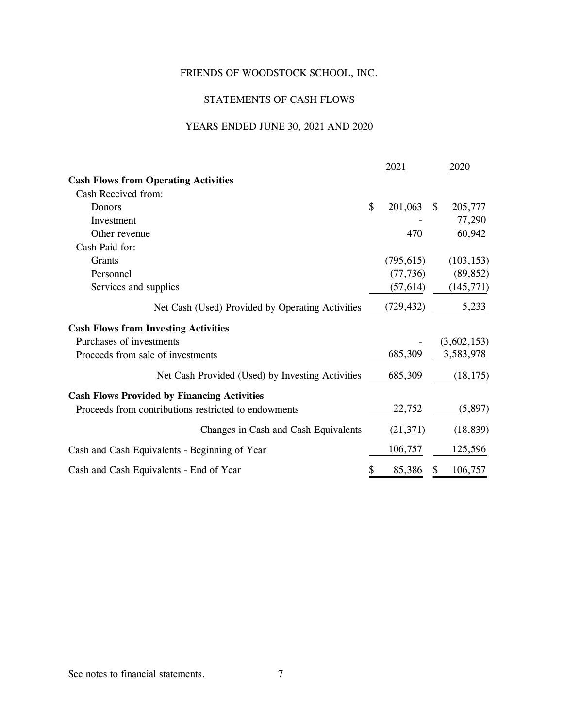# STATEMENTS OF CASH FLOWS

|                                                      | 2021          |     | 2020        |
|------------------------------------------------------|---------------|-----|-------------|
| <b>Cash Flows from Operating Activities</b>          |               |     |             |
| Cash Received from:                                  |               |     |             |
| Donors                                               | \$<br>201,063 | \$. | 205,777     |
| Investment                                           |               |     | 77,290      |
| Other revenue                                        | 470           |     | 60,942      |
| Cash Paid for:                                       |               |     |             |
| Grants                                               | (795, 615)    |     | (103, 153)  |
| Personnel                                            | (77, 736)     |     | (89, 852)   |
| Services and supplies                                | (57, 614)     |     | (145, 771)  |
| Net Cash (Used) Provided by Operating Activities     | (729, 432)    |     | 5,233       |
| <b>Cash Flows from Investing Activities</b>          |               |     |             |
| Purchases of investments                             |               |     | (3,602,153) |
| Proceeds from sale of investments                    | 685,309       |     | 3,583,978   |
| Net Cash Provided (Used) by Investing Activities     | 685,309       |     | (18, 175)   |
| <b>Cash Flows Provided by Financing Activities</b>   |               |     |             |
| Proceeds from contributions restricted to endowments | 22,752        |     | (5,897)     |
| Changes in Cash and Cash Equivalents                 | (21, 371)     |     | (18, 839)   |
| Cash and Cash Equivalents - Beginning of Year        | 106,757       |     | 125,596     |
| Cash and Cash Equivalents - End of Year              | \$<br>85,386  | S   | 106,757     |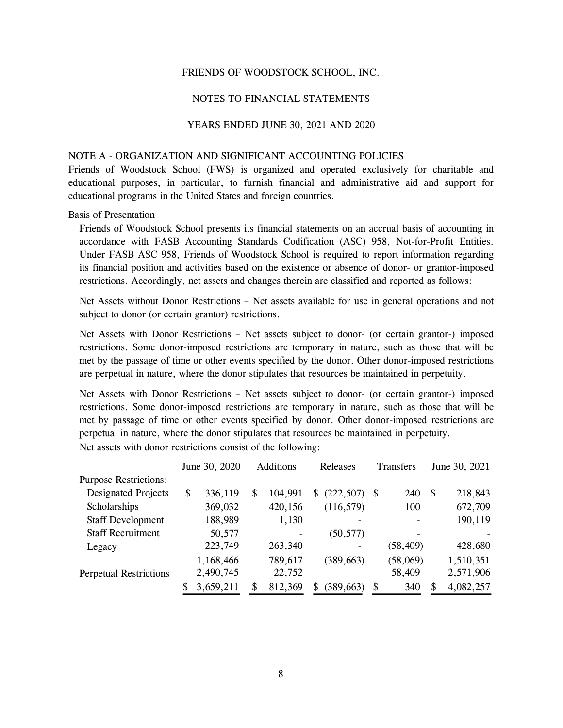# NOTES TO FINANCIAL STATEMENTS

#### YEARS ENDED JUNE 30, 2021 AND 2020

#### NOTE A - ORGANIZATION AND SIGNIFICANT ACCOUNTING POLICIES

Friends of Woodstock School (FWS) is organized and operated exclusively for charitable and educational purposes, in particular, to furnish financial and administrative aid and support for educational programs in the United States and foreign countries.

#### Basis of Presentation

Friends of Woodstock School presents its financial statements on an accrual basis of accounting in accordance with FASB Accounting Standards Codification (ASC) 958, Not-for-Profit Entities. Under FASB ASC 958, Friends of Woodstock School is required to report information regarding its financial position and activities based on the existence or absence of donor- or grantor-imposed restrictions. Accordingly, net assets and changes therein are classified and reported as follows:

Net Assets without Donor Restrictions – Net assets available for use in general operations and not subject to donor (or certain grantor) restrictions.

Net Assets with Donor Restrictions – Net assets subject to donor- (or certain grantor-) imposed restrictions. Some donor-imposed restrictions are temporary in nature, such as those that will be met by the passage of time or other events specified by the donor. Other donor-imposed restrictions are perpetual in nature, where the donor stipulates that resources be maintained in perpetuity.

Net assets with donor restrictions consist of the following: Net Assets with Donor Restrictions – Net assets subject to donor- (or certain grantor-) imposed restrictions. Some donor-imposed restrictions are temporary in nature, such as those that will be met by passage of time or other events specified by donor. Other donor-imposed restrictions are perpetual in nature, where the donor stipulates that resources be maintained in perpetuity.

|                               | <u>June 30, 2020</u> |   | <b>Additions</b> | Releases |            | <b>Transfers</b> |           | June 30, 2021 |
|-------------------------------|----------------------|---|------------------|----------|------------|------------------|-----------|---------------|
| <b>Purpose Restrictions:</b>  |                      |   |                  |          |            |                  |           |               |
| <b>Designated Projects</b>    | \$<br>336,119        | S | 104,991          | S.       | (222, 507) | -S               | 240       | \$<br>218,843 |
| Scholarships                  | 369,032              |   | 420,156          |          | (116, 579) |                  | 100       | 672,709       |
| <b>Staff Development</b>      | 188,989              |   | 1,130            |          |            |                  |           | 190,119       |
| <b>Staff Recruitment</b>      | 50,577               |   |                  |          | (50, 577)  |                  |           |               |
| Legacy                        | 223,749              |   | 263,340          |          |            |                  | (58, 409) | 428,680       |
|                               | 1,168,466            |   | 789,617          |          | (389, 663) |                  | (58,069)  | 1,510,351     |
| <b>Perpetual Restrictions</b> | 2,490,745            |   | 22,752           |          |            |                  | 58,409    | 2,571,906     |
|                               | 3,659,211            | S | 812,369          |          | (389, 663) | \$               | 340       | 4,082,257     |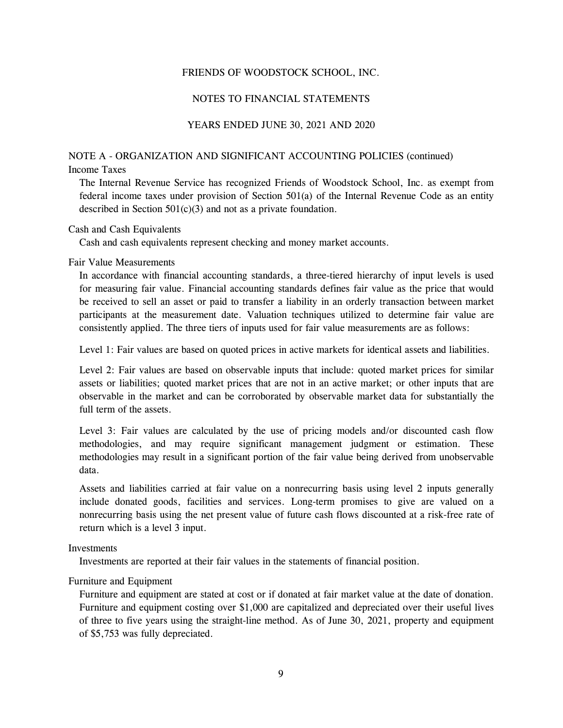# NOTES TO FINANCIAL STATEMENTS

#### YEARS ENDED JUNE 30, 2021 AND 2020

#### Income Taxes NOTE A - ORGANIZATION AND SIGNIFICANT ACCOUNTING POLICIES (continued)

The Internal Revenue Service has recognized Friends of Woodstock School, Inc. as exempt from federal income taxes under provision of Section 501(a) of the Internal Revenue Code as an entity described in Section 501(c)(3) and not as a private foundation.

#### Cash and Cash Equivalents

Cash and cash equivalents represent checking and money market accounts.

Fair Value Measurements

In accordance with financial accounting standards, a three-tiered hierarchy of input levels is used for measuring fair value. Financial accounting standards defines fair value as the price that would be received to sell an asset or paid to transfer a liability in an orderly transaction between market participants at the measurement date. Valuation techniques utilized to determine fair value are consistently applied. The three tiers of inputs used for fair value measurements are as follows:

Level 1: Fair values are based on quoted prices in active markets for identical assets and liabilities.

Level 2: Fair values are based on observable inputs that include: quoted market prices for similar assets or liabilities; quoted market prices that are not in an active market; or other inputs that are observable in the market and can be corroborated by observable market data for substantially the full term of the assets.

Level 3: Fair values are calculated by the use of pricing models and/or discounted cash flow methodologies, and may require significant management judgment or estimation. These methodologies may result in a significant portion of the fair value being derived from unobservable data.

Assets and liabilities carried at fair value on a nonrecurring basis using level 2 inputs generally include donated goods, facilities and services. Long-term promises to give are valued on a nonrecurring basis using the net present value of future cash flows discounted at a risk-free rate of return which is a level 3 input.

Investments

Investments are reported at their fair values in the statements of financial position.

Furniture and Equipment

Furniture and equipment are stated at cost or if donated at fair market value at the date of donation. Furniture and equipment costing over \$1,000 are capitalized and depreciated over their useful lives of three to five years using the straight-line method. As of June 30, 2021, property and equipment of \$5,753 was fully depreciated.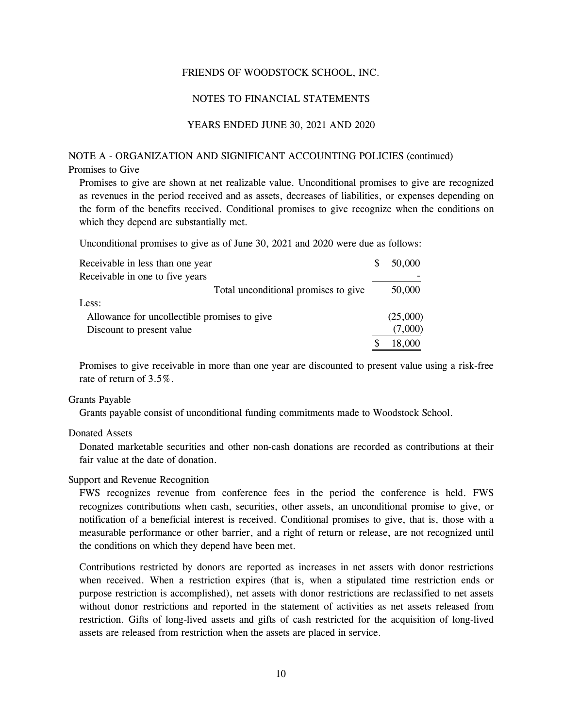## NOTES TO FINANCIAL STATEMENTS

# YEARS ENDED JUNE 30, 2021 AND 2020

# NOTE A - ORGANIZATION AND SIGNIFICANT ACCOUNTING POLICIES (continued)

Promises to Give

Promises to give are shown at net realizable value. Unconditional promises to give are recognized as revenues in the period received and as assets, decreases of liabilities, or expenses depending on the form of the benefits received. Conditional promises to give recognize when the conditions on which they depend are substantially met.

Unconditional promises to give as of June 30, 2021 and 2020 were due as follows:

| Receivable in less than one year             | 50,000   |
|----------------------------------------------|----------|
| Receivable in one to five years              |          |
| Total unconditional promises to give         | 50,000   |
| Less:                                        |          |
| Allowance for uncollectible promises to give | (25,000) |
| Discount to present value                    | (7,000)  |
|                                              | 18,000   |

Promises to give receivable in more than one year are discounted to present value using a risk-free rate of return of 3.5%.

#### Grants Payable

Grants payable consist of unconditional funding commitments made to Woodstock School.

## Donated Assets

Donated marketable securities and other non-cash donations are recorded as contributions at their fair value at the date of donation.

#### Support and Revenue Recognition

FWS recognizes revenue from conference fees in the period the conference is held. FWS recognizes contributions when cash, securities, other assets, an unconditional promise to give, or notification of a beneficial interest is received. Conditional promises to give, that is, those with a measurable performance or other barrier, and a right of return or release, are not recognized until the conditions on which they depend have been met.

Contributions restricted by donors are reported as increases in net assets with donor restrictions when received. When a restriction expires (that is, when a stipulated time restriction ends or purpose restriction is accomplished), net assets with donor restrictions are reclassified to net assets without donor restrictions and reported in the statement of activities as net assets released from restriction. Gifts of long-lived assets and gifts of cash restricted for the acquisition of long-lived assets are released from restriction when the assets are placed in service.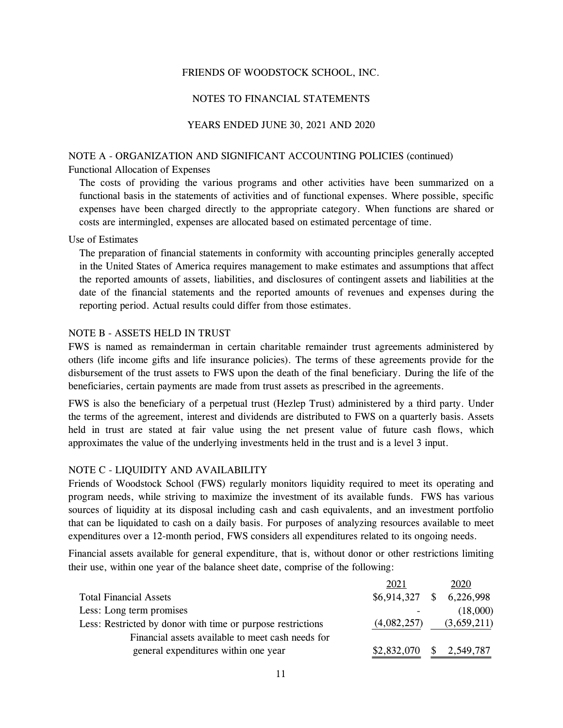# NOTES TO FINANCIAL STATEMENTS

#### YEARS ENDED JUNE 30, 2021 AND 2020

#### NOTE A - ORGANIZATION AND SIGNIFICANT ACCOUNTING POLICIES (continued)

#### Functional Allocation of Expenses

The costs of providing the various programs and other activities have been summarized on a functional basis in the statements of activities and of functional expenses. Where possible, specific expenses have been charged directly to the appropriate category. When functions are shared or costs are intermingled, expenses are allocated based on estimated percentage of time.

#### Use of Estimates

The preparation of financial statements in conformity with accounting principles generally accepted in the United States of America requires management to make estimates and assumptions that affect the reported amounts of assets, liabilities, and disclosures of contingent assets and liabilities at the date of the financial statements and the reported amounts of revenues and expenses during the reporting period. Actual results could differ from those estimates.

# NOTE B - ASSETS HELD IN TRUST

FWS is named as remainderman in certain charitable remainder trust agreements administered by others (life income gifts and life insurance policies). The terms of these agreements provide for the disbursement of the trust assets to FWS upon the death of the final beneficiary. During the life of the beneficiaries, certain payments are made from trust assets as prescribed in the agreements.

FWS is also the beneficiary of a perpetual trust (Hezlep Trust) administered by a third party. Under the terms of the agreement, interest and dividends are distributed to FWS on a quarterly basis. Assets held in trust are stated at fair value using the net present value of future cash flows, which approximates the value of the underlying investments held in the trust and is a level 3 input.

#### NOTE C - LIQUIDITY AND AVAILABILITY

Friends of Woodstock School (FWS) regularly monitors liquidity required to meet its operating and program needs, while striving to maximize the investment of its available funds. FWS has various sources of liquidity at its disposal including cash and cash equivalents, and an investment portfolio that can be liquidated to cash on a daily basis. For purposes of analyzing resources available to meet expenditures over a 12-month period, FWS considers all expenditures related to its ongoing needs.

Financial assets available for general expenditure, that is, without donor or other restrictions limiting their use, within one year of the balance sheet date, comprise of the following:

|                                                             | 2021                      | 2020        |
|-------------------------------------------------------------|---------------------------|-------------|
| <b>Total Financial Assets</b>                               | $$6,914,327$ \$ 6,226,998 |             |
| Less: Long term promises                                    |                           | (18,000)    |
| Less: Restricted by donor with time or purpose restrictions | (4,082,257)               | (3,659,211) |
| Financial assets available to meet cash needs for           |                           |             |
| general expenditures within one year                        | $$2,832,070$ $$2,549,787$ |             |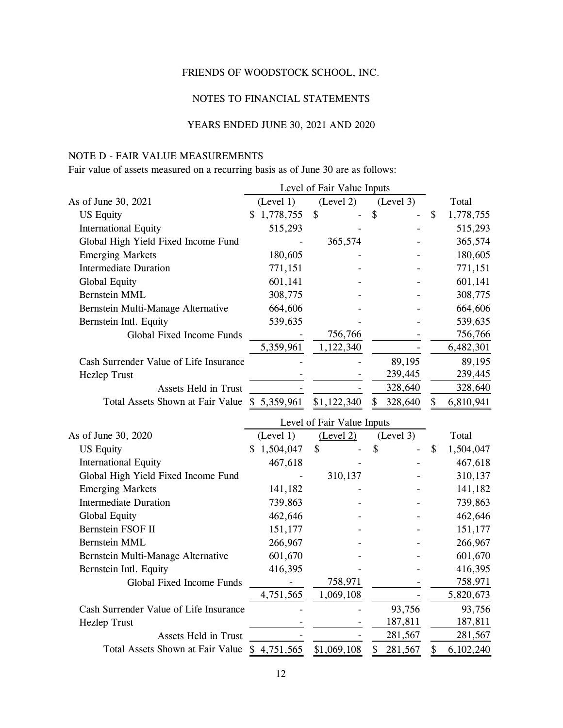# NOTES TO FINANCIAL STATEMENTS

# YEARS ENDED JUNE 30, 2021 AND 2020

# NOTE D - FAIR VALUE MEASUREMENTS

Fair value of assets measured on a recurring basis as of June 30 are as follows:

|                                        | Level of Fair Value Inputs |               |                  |                 |
|----------------------------------------|----------------------------|---------------|------------------|-----------------|
| As of June 30, 2021                    | (Level 1)                  | (Level 2)     | <u>(Level 3)</u> | <b>Total</b>    |
| <b>US Equity</b>                       | 1,778,755<br>\$            | <sup>\$</sup> | S                | \$<br>1,778,755 |
| <b>International Equity</b>            | 515,293                    |               |                  | 515,293         |
| Global High Yield Fixed Income Fund    |                            | 365,574       |                  | 365,574         |
| <b>Emerging Markets</b>                | 180,605                    |               |                  | 180,605         |
| <b>Intermediate Duration</b>           | 771,151                    |               |                  | 771,151         |
| <b>Global Equity</b>                   | 601,141                    |               |                  | 601,141         |
| Bernstein MML                          | 308,775                    |               |                  | 308,775         |
| Bernstein Multi-Manage Alternative     | 664,606                    |               |                  | 664,606         |
| Bernstein Intl. Equity                 | 539,635                    |               |                  | 539,635         |
| Global Fixed Income Funds              |                            | 756,766       |                  | 756,766         |
|                                        | 5,359,961                  | 1,122,340     |                  | 6,482,301       |
| Cash Surrender Value of Life Insurance |                            |               | 89,195           | 89,195          |
| <b>Hezlep Trust</b>                    |                            |               | 239,445          | 239,445         |
| Assets Held in Trust                   |                            |               | 328,640          | 328,640         |
| Total Assets Shown at Fair Value       | \$5,359,961                | \$1,122,340   | 328,640<br>S     | 6,810,941       |

|                                              |                  | Level of Fair Value Inputs |                  |                 |
|----------------------------------------------|------------------|----------------------------|------------------|-----------------|
| As of June 30, 2020                          | <u>(Level 1)</u> | (Level 2)                  | <u>(Level 3)</u> | <b>Total</b>    |
| <b>US Equity</b>                             | 1,504,047<br>\$  | \$                         |                  | \$<br>1,504,047 |
| <b>International Equity</b>                  | 467,618          |                            |                  | 467,618         |
| Global High Yield Fixed Income Fund          |                  | 310,137                    |                  | 310,137         |
| <b>Emerging Markets</b>                      | 141,182          |                            |                  | 141,182         |
| <b>Intermediate Duration</b>                 | 739,863          |                            |                  | 739,863         |
| <b>Global Equity</b>                         | 462,646          |                            |                  | 462,646         |
| <b>Bernstein FSOF II</b>                     | 151,177          |                            |                  | 151,177         |
| <b>Bernstein MML</b>                         | 266,967          |                            |                  | 266,967         |
| Bernstein Multi-Manage Alternative           | 601,670          |                            |                  | 601,670         |
| Bernstein Intl. Equity                       | 416,395          |                            |                  | 416,395         |
| Global Fixed Income Funds                    |                  | 758,971                    |                  | 758,971         |
|                                              | 4,751,565        | 1,069,108                  |                  | 5,820,673       |
| Cash Surrender Value of Life Insurance       |                  |                            | 93,756           | 93,756          |
| <b>Hezlep Trust</b>                          |                  |                            | 187,811          | 187,811         |
| <b>Assets Held in Trust</b>                  |                  |                            | 281,567          | 281,567         |
| Total Assets Shown at Fair Value \$4,751,565 |                  | \$1,069,108                | \$<br>281,567    | \$<br>6,102,240 |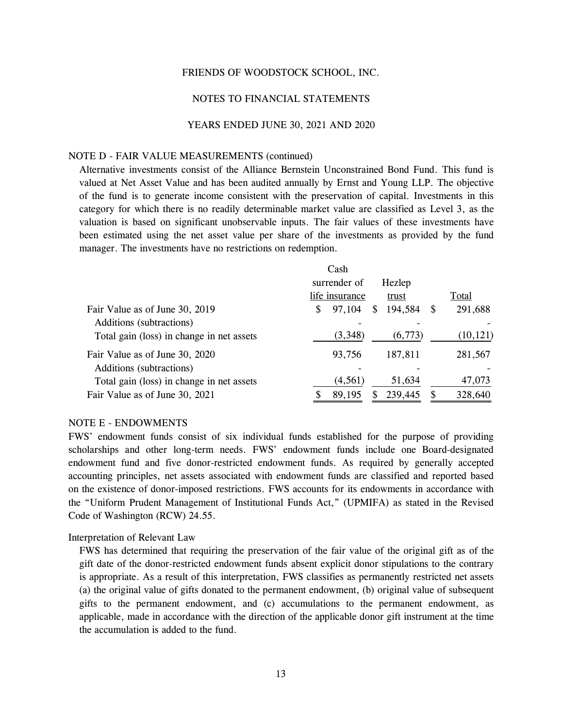#### NOTES TO FINANCIAL STATEMENTS

#### YEARS ENDED JUNE 30, 2021 AND 2020

#### NOTE D - FAIR VALUE MEASUREMENTS (continued)

Alternative investments consist of the Alliance Bernstein Unconstrained Bond Fund. This fund is valued at Net Asset Value and has been audited annually by Ernst and Young LLP. The objective of the fund is to generate income consistent with the preservation of capital. Investments in this category for which there is no readily determinable market value are classified as Level 3, as the valuation is based on significant unobservable inputs. The fair values of these investments have been estimated using the net asset value per share of the investments as provided by the fund manager. The investments have no restrictions on redemption.

|                                           |     | Cash           |     |         |               |           |
|-------------------------------------------|-----|----------------|-----|---------|---------------|-----------|
|                                           |     | surrender of   |     | Hezlep  |               |           |
|                                           |     | life insurance |     | trust   |               | Total     |
| Fair Value as of June 30, 2019            | \$. | 97,104         | \$. | 194,584 | <sup>\$</sup> | 291,688   |
| Additions (subtractions)                  |     |                |     |         |               |           |
| Total gain (loss) in change in net assets |     | (3,348)        |     | (6,773) |               | (10, 121) |
| Fair Value as of June 30, 2020            |     | 93,756         |     | 187,811 |               | 281,567   |
| Additions (subtractions)                  |     |                |     |         |               |           |
| Total gain (loss) in change in net assets |     | (4, 561)       |     | 51,634  |               | 47,073    |
| Fair Value as of June 30, 2021            |     | 89,195         |     | 239,445 | S             | 328,640   |

#### NOTE E - ENDOWMENTS

FWS' endowment funds consist of six individual funds established for the purpose of providing scholarships and other long-term needs. FWS' endowment funds include one Board-designated endowment fund and five donor-restricted endowment funds. As required by generally accepted accounting principles, net assets associated with endowment funds are classified and reported based on the existence of donor-imposed restrictions. FWS accounts for its endowments in accordance with the "Uniform Prudent Management of Institutional Funds Act," (UPMIFA) as stated in the Revised Code of Washington (RCW) 24.55.

#### Interpretation of Relevant Law

FWS has determined that requiring the preservation of the fair value of the original gift as of the gift date of the donor-restricted endowment funds absent explicit donor stipulations to the contrary is appropriate. As a result of this interpretation, FWS classifies as permanently restricted net assets (a) the original value of gifts donated to the permanent endowment, (b) original value of subsequent gifts to the permanent endowment, and (c) accumulations to the permanent endowment, as applicable, made in accordance with the direction of the applicable donor gift instrument at the time the accumulation is added to the fund.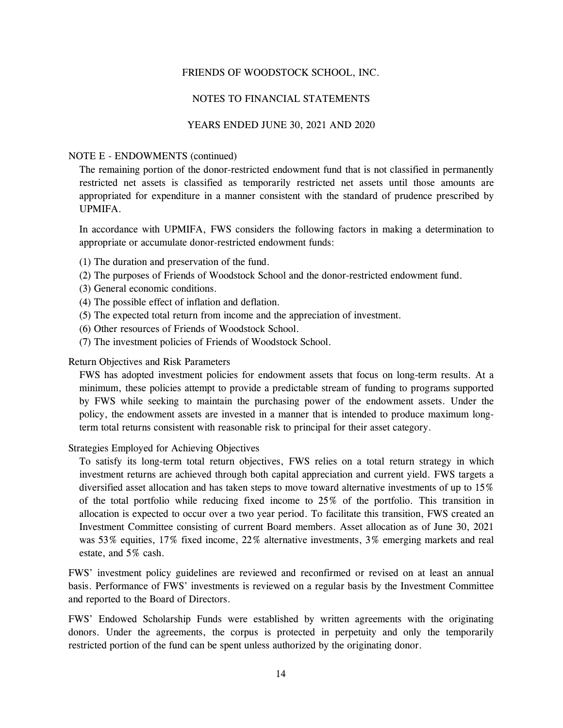# NOTES TO FINANCIAL STATEMENTS

#### YEARS ENDED JUNE 30, 2021 AND 2020

#### NOTE E - ENDOWMENTS (continued)

The remaining portion of the donor-restricted endowment fund that is not classified in permanently restricted net assets is classified as temporarily restricted net assets until those amounts are appropriated for expenditure in a manner consistent with the standard of prudence prescribed by UPMIFA.

In accordance with UPMIFA, FWS considers the following factors in making a determination to appropriate or accumulate donor-restricted endowment funds:

- (1) The duration and preservation of the fund.
- (2) The purposes of Friends of Woodstock School and the donor-restricted endowment fund.
- (3) General economic conditions.
- (4) The possible effect of inflation and deflation.
- (5) The expected total return from income and the appreciation of investment.
- (6) Other resources of Friends of Woodstock School.
- (7) The investment policies of Friends of Woodstock School.

#### Return Objectives and Risk Parameters

FWS has adopted investment policies for endowment assets that focus on long-term results. At a minimum, these policies attempt to provide a predictable stream of funding to programs supported by FWS while seeking to maintain the purchasing power of the endowment assets. Under the policy, the endowment assets are invested in a manner that is intended to produce maximum longterm total returns consistent with reasonable risk to principal for their asset category.

#### Strategies Employed for Achieving Objectives

To satisfy its long-term total return objectives, FWS relies on a total return strategy in which investment returns are achieved through both capital appreciation and current yield. FWS targets a diversified asset allocation and has taken steps to move toward alternative investments of up to 15% of the total portfolio while reducing fixed income to 25% of the portfolio. This transition in allocation is expected to occur over a two year period. To facilitate this transition, FWS created an Investment Committee consisting of current Board members. Asset allocation as of June 30, 2021 was 53% equities, 17% fixed income, 22% alternative investments, 3% emerging markets and real estate, and 5% cash.

FWS' investment policy guidelines are reviewed and reconfirmed or revised on at least an annual basis. Performance of FWS' investments is reviewed on a regular basis by the Investment Committee and reported to the Board of Directors.

FWS' Endowed Scholarship Funds were established by written agreements with the originating donors. Under the agreements, the corpus is protected in perpetuity and only the temporarily restricted portion of the fund can be spent unless authorized by the originating donor.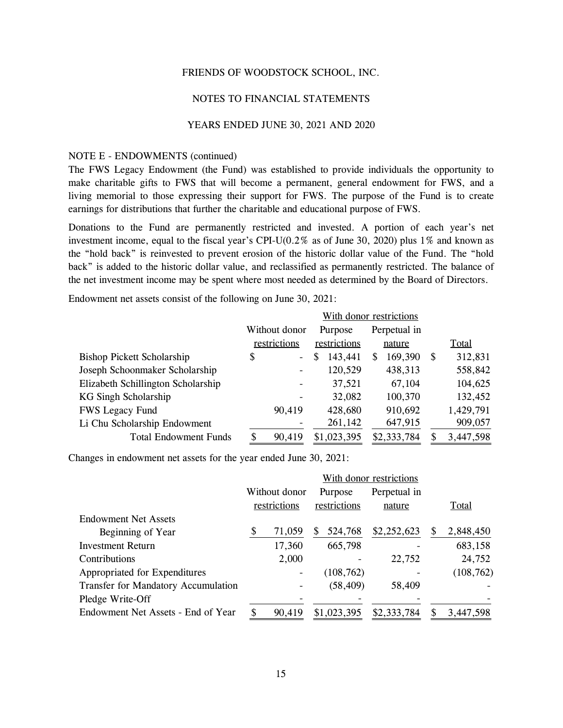#### NOTES TO FINANCIAL STATEMENTS

#### YEARS ENDED JUNE 30, 2021 AND 2020

#### NOTE E - ENDOWMENTS (continued)

The FWS Legacy Endowment (the Fund) was established to provide individuals the opportunity to make charitable gifts to FWS that will become a permanent, general endowment for FWS, and a living memorial to those expressing their support for FWS. The purpose of the Fund is to create earnings for distributions that further the charitable and educational purpose of FWS.

Donations to the Fund are permanently restricted and invested. A portion of each year's net investment income, equal to the fiscal year's CPI-U(0.2% as of June 30, 2020) plus 1% and known as the "hold back" is reinvested to prevent erosion of the historic dollar value of the Fund. The "hold back" is added to the historic dollar value, and reclassified as permanently restricted. The balance of the net investment income may be spent where most needed as determined by the Board of Directors.

Endowment net assets consist of the following on June 30, 2021:

|                                    | With donor restrictions |                          |              |             |        |              |    |           |  |
|------------------------------------|-------------------------|--------------------------|--------------|-------------|--------|--------------|----|-----------|--|
|                                    |                         | Without donor            |              | Purpose     |        | Perpetual in |    |           |  |
|                                    | restrictions            |                          | restrictions |             | nature |              |    | Total     |  |
| <b>Bishop Pickett Scholarship</b>  | \$                      | $\overline{\phantom{a}}$ | S            | 143,441     | S      | 169,390      | \$ | 312,831   |  |
| Joseph Schoonmaker Scholarship     |                         | $\overline{\phantom{a}}$ |              | 120,529     |        | 438,313      |    | 558,842   |  |
| Elizabeth Schillington Scholarship |                         | $\overline{\phantom{a}}$ |              | 37,521      |        | 67,104       |    | 104,625   |  |
| <b>KG Singh Scholarship</b>        |                         | $\overline{\phantom{a}}$ |              | 32,082      |        | 100,370      |    | 132,452   |  |
| <b>FWS Legacy Fund</b>             |                         | 90,419                   |              | 428,680     |        | 910,692      |    | 1,429,791 |  |
| Li Chu Scholarship Endowment       |                         | $\overline{\phantom{a}}$ |              | 261,142     |        | 647,915      |    | 909,057   |  |
| <b>Total Endowment Funds</b>       |                         | 90,419                   |              | \$1,023,395 |        | \$2,333,784  |    | 3,447,598 |  |

Changes in endowment net assets for the year ended June 30, 2021:

|                                     | With donor restrictions |        |              |             |              |    |            |  |
|-------------------------------------|-------------------------|--------|--------------|-------------|--------------|----|------------|--|
|                                     | Without donor           |        | Purpose      |             | Perpetual in |    |            |  |
|                                     | restrictions            |        | restrictions |             | nature       |    | Total      |  |
| <b>Endowment Net Assets</b>         |                         |        |              |             |              |    |            |  |
| Beginning of Year                   | \$                      | 71,059 | S.           | 524,768     | \$2,252,623  | \$ | 2,848,450  |  |
| <b>Investment Return</b>            |                         | 17,360 |              | 665,798     |              |    | 683,158    |  |
| Contributions                       |                         | 2,000  |              |             | 22,752       |    | 24,752     |  |
| Appropriated for Expenditures       |                         |        |              | (108, 762)  |              |    | (108, 762) |  |
| Transfer for Mandatory Accumulation |                         |        |              | (58, 409)   | 58,409       |    |            |  |
| Pledge Write-Off                    |                         |        |              |             |              |    |            |  |
| Endowment Net Assets - End of Year  | S                       | 90,419 |              | \$1,023,395 | \$2,333,784  | S  | 3,447,598  |  |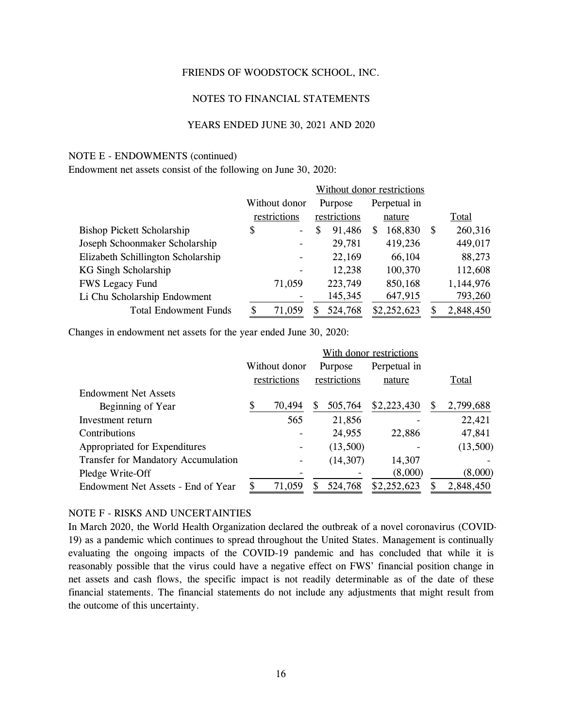# NOTES TO FINANCIAL STATEMENTS

#### YEARS ENDED JUNE 30, 2021 AND 2020

#### NOTE E - ENDOWMENTS (continued)

Endowment net assets consist of the following on June 30, 2020:

|                                    | Without donor restrictions |                              |              |         |              |             |    |           |
|------------------------------------|----------------------------|------------------------------|--------------|---------|--------------|-------------|----|-----------|
|                                    | Without donor              |                              | Purpose      |         | Perpetual in |             |    |           |
|                                    | restrictions               |                              | restrictions |         | nature       |             |    | Total     |
| <b>Bishop Pickett Scholarship</b>  | \$                         | $\blacksquare$               | S            | 91,486  | S            | 168,830     | \$ | 260,316   |
| Joseph Schoonmaker Scholarship     |                            | -                            |              | 29,781  |              | 419,236     |    | 449,017   |
| Elizabeth Schillington Scholarship |                            | $\qquad \qquad \blacksquare$ |              | 22,169  |              | 66,104      |    | 88,273    |
| <b>KG Singh Scholarship</b>        |                            | -                            |              | 12,238  |              | 100,370     |    | 112,608   |
| <b>FWS Legacy Fund</b>             |                            | 71,059                       |              | 223,749 |              | 850,168     |    | 1,144,976 |
| Li Chu Scholarship Endowment       |                            |                              |              | 145,345 |              | 647,915     |    | 793,260   |
| <b>Total Endowment Funds</b>       |                            | 71,059                       |              | 524,768 |              | \$2,252,623 |    | 2,848,450 |

Changes in endowment net assets for the year ended June 30, 2020:

|                                            | With donor restrictions       |                              |                         |           |                        |              |           |
|--------------------------------------------|-------------------------------|------------------------------|-------------------------|-----------|------------------------|--------------|-----------|
|                                            | Without donor<br>restrictions |                              | Purpose<br>restrictions |           | Perpetual in<br>nature |              | Total     |
| <b>Endowment Net Assets</b>                |                               |                              |                         |           |                        |              |           |
| Beginning of Year                          | \$                            | 70,494                       | \$.                     | 505,764   | \$2,223,430            | $\mathbb{S}$ | 2,799,688 |
| Investment return                          |                               | 565                          |                         | 21,856    |                        |              | 22,421    |
| Contributions                              |                               |                              |                         | 24,955    | 22,886                 |              | 47,841    |
| Appropriated for Expenditures              |                               | $\qquad \qquad \blacksquare$ |                         | (13,500)  |                        |              | (13,500)  |
| <b>Transfer for Mandatory Accumulation</b> |                               |                              |                         | (14, 307) | 14,307                 |              |           |
| Pledge Write-Off                           |                               |                              |                         |           | (8,000)                |              | (8,000)   |
| Endowment Net Assets - End of Year         |                               | 71,059                       |                         | 524,768   | \$2,252,623            | \$           | 2,848,450 |

## NOTE F - RISKS AND UNCERTAINTIES

In March 2020, the World Health Organization declared the outbreak of a novel coronavirus (COVID-19) as a pandemic which continues to spread throughout the United States. Management is continually evaluating the ongoing impacts of the COVID-19 pandemic and has concluded that while it is reasonably possible that the virus could have a negative effect on FWS' financial position change in net assets and cash flows, the specific impact is not readily determinable as of the date of these financial statements. The financial statements do not include any adjustments that might result from the outcome of this uncertainty.